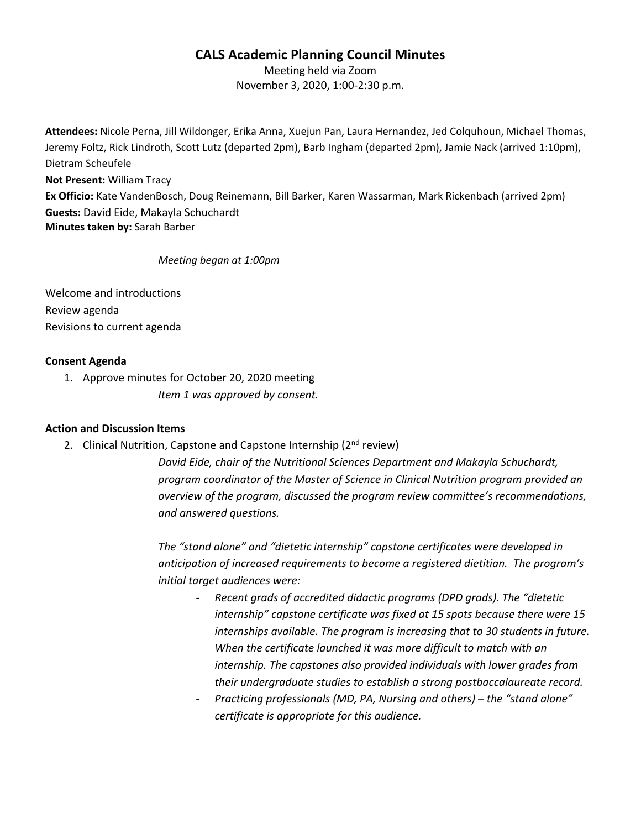# **CALS Academic Planning Council Minutes**

Meeting held via Zoom November 3, 2020, 1:00-2:30 p.m.

**Attendees:** Nicole Perna, Jill Wildonger, Erika Anna, Xuejun Pan, Laura Hernandez, Jed Colquhoun, Michael Thomas, Jeremy Foltz, Rick Lindroth, Scott Lutz (departed 2pm), Barb Ingham (departed 2pm), Jamie Nack (arrived 1:10pm), Dietram Scheufele **Not Present:** William Tracy **Ex Officio:** Kate VandenBosch, Doug Reinemann, Bill Barker, Karen Wassarman, Mark Rickenbach (arrived 2pm) **Guests:** David Eide, Makayla Schuchardt **Minutes taken by:** Sarah Barber

*Meeting began at 1:00pm*

Welcome and introductions Review agenda Revisions to current agenda

## **Consent Agenda**

1. Approve minutes for October 20, 2020 meeting *Item 1 was approved by consent.*

## **Action and Discussion Items**

2. Clinical Nutrition, Capstone and Capstone Internship (2<sup>nd</sup> review)

*David Eide, chair of the Nutritional Sciences Department and Makayla Schuchardt, program coordinator of the Master of Science in Clinical Nutrition program provided an overview of the program, discussed the program review committee's recommendations, and answered questions.*

*The "stand alone" and "dietetic internship" capstone certificates were developed in anticipation of increased requirements to become a registered dietitian. The program's initial target audiences were:* 

- *Recent grads of accredited didactic programs (DPD grads). The "dietetic internship" capstone certificate was fixed at 15 spots because there were 15 internships available. The program is increasing that to 30 students in future. When the certificate launched it was more difficult to match with an internship. The capstones also provided individuals with lower grades from their undergraduate studies to establish a strong postbaccalaureate record.*
- *Practicing professionals (MD, PA, Nursing and others) – the "stand alone" certificate is appropriate for this audience.*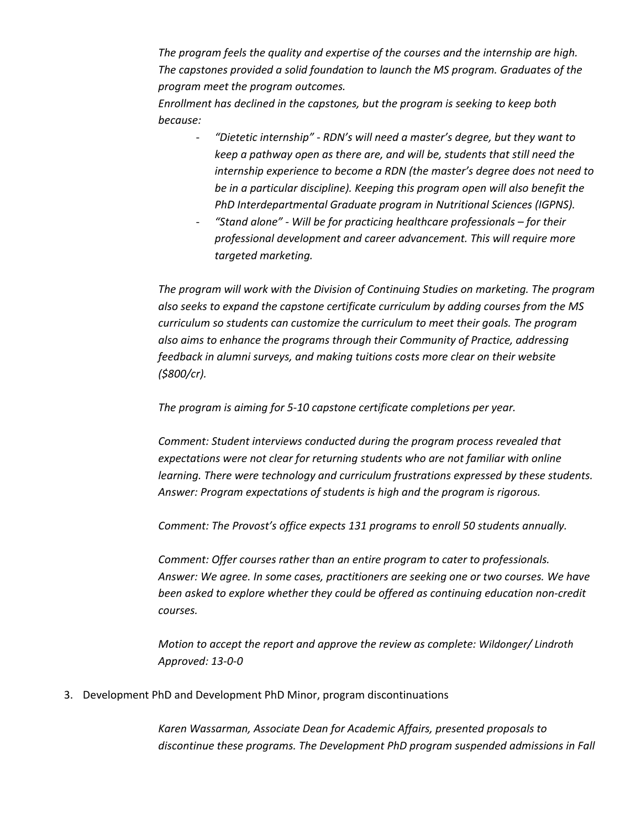*The program feels the quality and expertise of the courses and the internship are high. The capstones provided a solid foundation to launch the MS program. Graduates of the program meet the program outcomes.* 

*Enrollment has declined in the capstones, but the program is seeking to keep both because:* 

- *"Dietetic internship" - RDN's will need a master's degree, but they want to keep a pathway open as there are, and will be, students that still need the internship experience to become a RDN (the master's degree does not need to be in a particular discipline). Keeping this program open will also benefit the PhD Interdepartmental Graduate program in Nutritional Sciences (IGPNS).*
- *"Stand alone" - Will be for practicing healthcare professionals – for their professional development and career advancement. This will require more targeted marketing.*

*The program will work with the Division of Continuing Studies on marketing. The program also seeks to expand the capstone certificate curriculum by adding courses from the MS curriculum so students can customize the curriculum to meet their goals. The program also aims to enhance the programs through their Community of Practice, addressing feedback in alumni surveys, and making tuitions costs more clear on their website (\$800/cr).*

*The program is aiming for 5-10 capstone certificate completions per year.* 

*Comment: Student interviews conducted during the program process revealed that expectations were not clear for returning students who are not familiar with online learning. There were technology and curriculum frustrations expressed by these students. Answer: Program expectations of students is high and the program is rigorous.*

*Comment: The Provost's office expects 131 programs to enroll 50 students annually.* 

*Comment: Offer courses rather than an entire program to cater to professionals. Answer: We agree. In some cases, practitioners are seeking one or two courses. We have been asked to explore whether they could be offered as continuing education non-credit courses.* 

*Motion to accept the report and approve the review as complete: Wildonger/ Lindroth Approved: 13-0-0*

3. Development PhD and Development PhD Minor, program discontinuations

*Karen Wassarman, Associate Dean for Academic Affairs, presented proposals to discontinue these programs. The Development PhD program suspended admissions in Fall*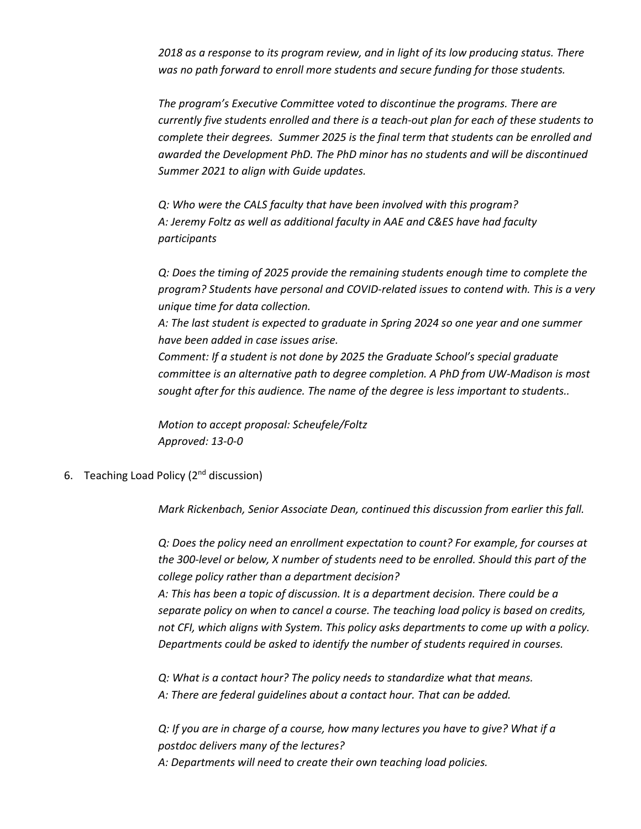*2018 as a response to its program review, and in light of its low producing status. There was no path forward to enroll more students and secure funding for those students.*

*The program's Executive Committee voted to discontinue the programs. There are currently five students enrolled and there is a teach-out plan for each of these students to complete their degrees. Summer 2025 is the final term that students can be enrolled and awarded the Development PhD. The PhD minor has no students and will be discontinued Summer 2021 to align with Guide updates.* 

*Q: Who were the CALS faculty that have been involved with this program? A: Jeremy Foltz as well as additional faculty in AAE and C&ES have had faculty participants*

*Q: Does the timing of 2025 provide the remaining students enough time to complete the program? Students have personal and COVID-related issues to contend with. This is a very unique time for data collection.*

*A: The last student is expected to graduate in Spring 2024 so one year and one summer have been added in case issues arise.* 

*Comment: If a student is not done by 2025 the Graduate School's special graduate committee is an alternative path to degree completion. A PhD from UW-Madison is most sought after for this audience. The name of the degree is less important to students..* 

*Motion to accept proposal: Scheufele/Foltz Approved: 13-0-0*

6. Teaching Load Policy  $(2^{nd}$  discussion)

*Mark Rickenbach, Senior Associate Dean, continued this discussion from earlier this fall.* 

*Q: Does the policy need an enrollment expectation to count? For example, for courses at the 300-level or below, X number of students need to be enrolled. Should this part of the college policy rather than a department decision?* 

*A: This has been a topic of discussion. It is a department decision. There could be a separate policy on when to cancel a course. The teaching load policy is based on credits, not CFI, which aligns with System. This policy asks departments to come up with a policy. Departments could be asked to identify the number of students required in courses.* 

*Q: What is a contact hour? The policy needs to standardize what that means. A: There are federal guidelines about a contact hour. That can be added.*

*Q: If you are in charge of a course, how many lectures you have to give? What if a postdoc delivers many of the lectures? A: Departments will need to create their own teaching load policies.*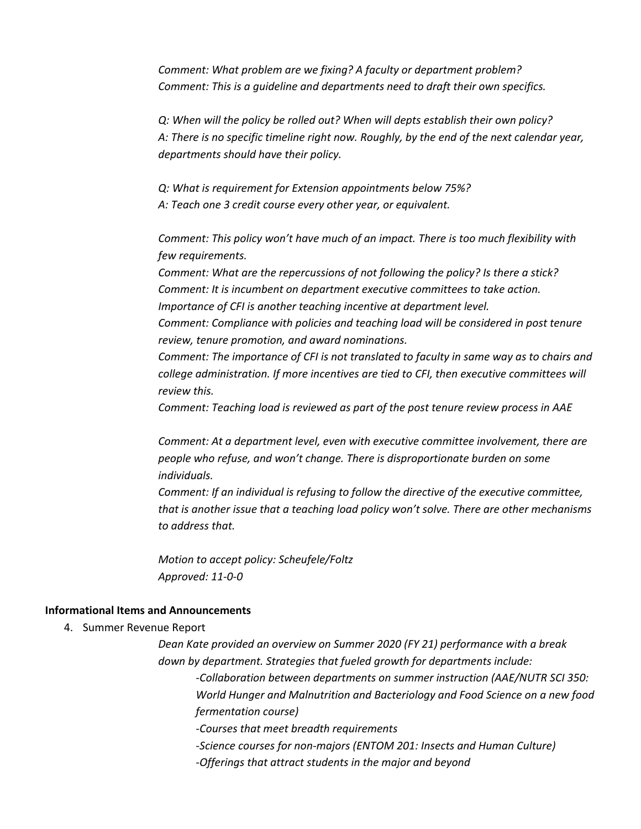*Comment: What problem are we fixing? A faculty or department problem? Comment: This is a guideline and departments need to draft their own specifics.*

*Q: When will the policy be rolled out? When will depts establish their own policy? A: There is no specific timeline right now. Roughly, by the end of the next calendar year, departments should have their policy.*

*Q: What is requirement for Extension appointments below 75%?*

*A: Teach one 3 credit course every other year, or equivalent.*

*Comment: This policy won't have much of an impact. There is too much flexibility with few requirements.* 

*Comment: What are the repercussions of not following the policy? Is there a stick? Comment: It is incumbent on department executive committees to take action. Importance of CFI is another teaching incentive at department level.*

*Comment: Compliance with policies and teaching load will be considered in post tenure review, tenure promotion, and award nominations.* 

*Comment: The importance of CFI is not translated to faculty in same way as to chairs and college administration. If more incentives are tied to CFI, then executive committees will review this.* 

*Comment: Teaching load is reviewed as part of the post tenure review process in AAE*

*Comment: At a department level, even with executive committee involvement, there are people who refuse, and won't change. There is disproportionate burden on some individuals.* 

*Comment: If an individual is refusing to follow the directive of the executive committee, that is another issue that a teaching load policy won't solve. There are other mechanisms to address that.*

*Motion to accept policy: Scheufele/Foltz Approved: 11-0-0*

#### **Informational Items and Announcements**

4. Summer Revenue Report

*Dean Kate provided an overview on Summer 2020 (FY 21) performance with a break down by department. Strategies that fueled growth for departments include:* 

*-Collaboration between departments on summer instruction (AAE/NUTR SCI 350: World Hunger and Malnutrition and Bacteriology and Food Science on a new food fermentation course)* 

*-Courses that meet breadth requirements*

*-Science courses for non-majors (ENTOM 201: Insects and Human Culture) -Offerings that attract students in the major and beyond*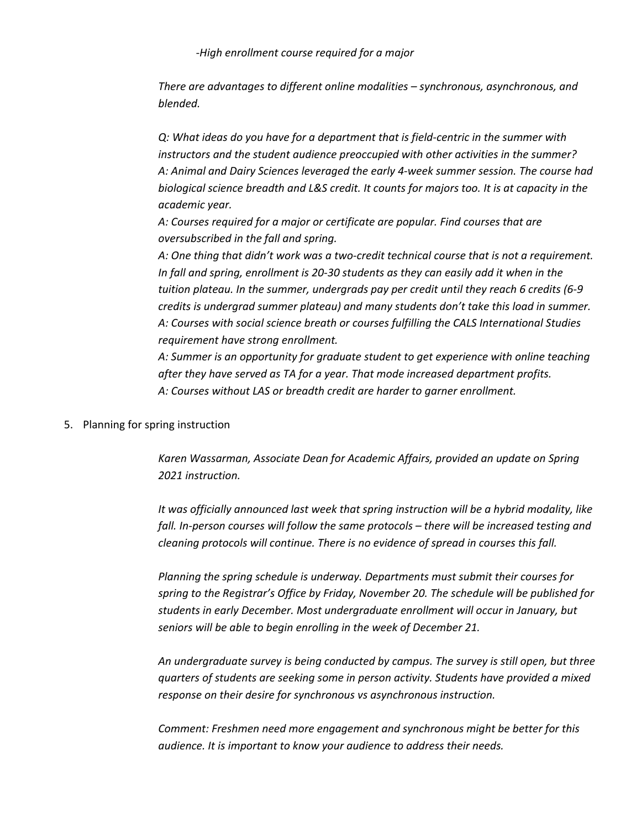*-High enrollment course required for a major*

*There are advantages to different online modalities – synchronous, asynchronous, and blended.* 

*Q: What ideas do you have for a department that is field-centric in the summer with instructors and the student audience preoccupied with other activities in the summer? A: Animal and Dairy Sciences leveraged the early 4-week summer session. The course had biological science breadth and L&S credit. It counts for majors too. It is at capacity in the academic year.*

*A: Courses required for a major or certificate are popular. Find courses that are oversubscribed in the fall and spring.* 

*A: One thing that didn't work was a two-credit technical course that is not a requirement. In fall and spring, enrollment is 20-30 students as they can easily add it when in the tuition plateau. In the summer, undergrads pay per credit until they reach 6 credits (6-9 credits is undergrad summer plateau) and many students don't take this load in summer. A: Courses with social science breath or courses fulfilling the CALS International Studies requirement have strong enrollment.* 

*A: Summer is an opportunity for graduate student to get experience with online teaching after they have served as TA for a year. That mode increased department profits. A: Courses without LAS or breadth credit are harder to garner enrollment.*

#### 5. Planning for spring instruction

*Karen Wassarman, Associate Dean for Academic Affairs, provided an update on Spring 2021 instruction.* 

*It was officially announced last week that spring instruction will be a hybrid modality, like fall. In-person courses will follow the same protocols – there will be increased testing and cleaning protocols will continue. There is no evidence of spread in courses this fall.* 

*Planning the spring schedule is underway. Departments must submit their courses for spring to the Registrar's Office by Friday, November 20. The schedule will be published for students in early December. Most undergraduate enrollment will occur in January, but seniors will be able to begin enrolling in the week of December 21.*

*An undergraduate survey is being conducted by campus. The survey is still open, but three quarters of students are seeking some in person activity. Students have provided a mixed response on their desire for synchronous vs asynchronous instruction.* 

*Comment: Freshmen need more engagement and synchronous might be better for this audience. It is important to know your audience to address their needs.*